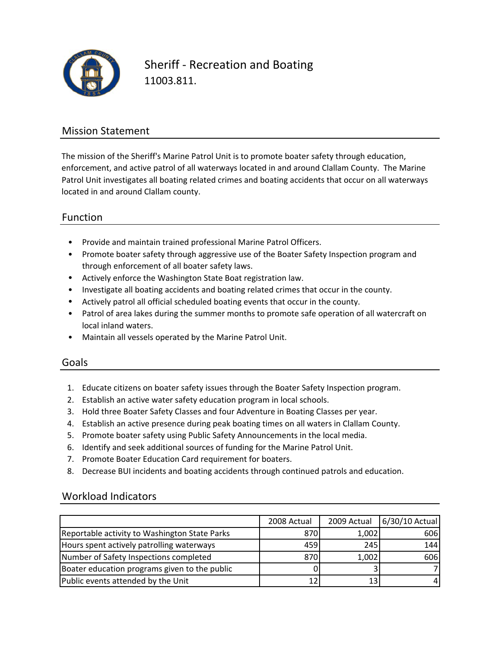

Sheriff ‐ Recreation and Boating 11003.811.

### Mission Statement

The mission of the Sheriff's Marine Patrol Unit is to promote boater safety through education, enforcement, and active patrol of all waterways located in and around Clallam County. The Marine Patrol Unit investigates all boating related crimes and boating accidents that occur on all waterways located in and around Clallam county.

### Function

- Provide and maintain trained professional Marine Patrol Officers.
- Promote boater safety through aggressive use of the Boater Safety Inspection program and through enforcement of all boater safety laws.
- Actively enforce the Washington State Boat registration law.
- Investigate all boating accidents and boating related crimes that occur in the county.
- Actively patrol all official scheduled boating events that occur in the county.
- Patrol of area lakes during the summer months to promote safe operation of all watercraft on local inland waters.
- Maintain all vessels operated by the Marine Patrol Unit.

#### Goals

- 1. Educate citizens on boater safety issues through the Boater Safety Inspection program.
- 2. Establish an active water safety education program in local schools.
- 3. Hold three Boater Safety Classes and four Adventure in Boating Classes per year.
- 4. Establish an active presence during peak boating times on all waters in Clallam County.
- 5. Promote boater safety using Public Safety Announcements in the local media.
- 6. Identify and seek additional sources of funding for the Marine Patrol Unit.
- 7. Promote Boater Education Card requirement for boaters.
- 8. Decrease BUI incidents and boating accidents through continued patrols and education.

### Workload Indicators

|                                               | 2008 Actual | 2009 Actual | 6/30/10 Actual |
|-----------------------------------------------|-------------|-------------|----------------|
| Reportable activity to Washington State Parks | 870         | 1,002       | 606            |
| Hours spent actively patrolling waterways     | 459         | 245         | 144            |
| Number of Safety Inspections completed        | 870         | 1,002       | 606            |
| Boater education programs given to the public |             |             |                |
| Public events attended by the Unit            |             | 13          |                |